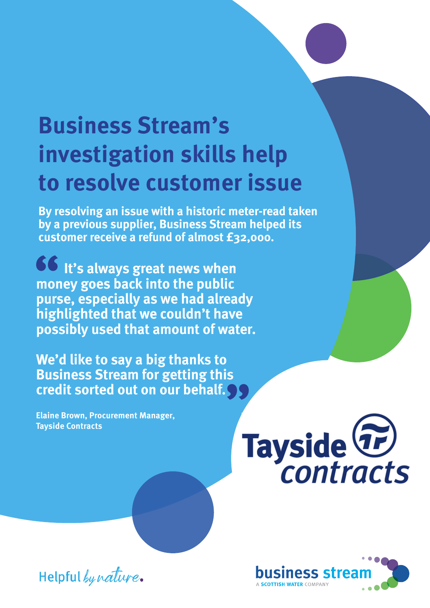## **Business Stream's investigation skills help to resolve customer issue**

**By resolving an issue with a historic meter-read taken by a previous supplier, Business Stream helped its customer receive a refund of almost £32,000.**

**DO** It's always great news when **money goes back into the public purse, especially as we had already highlighted that we couldn't have possibly used that amount of water. 66**<br>mor<br>purs

**We'd like to say a big thanks to Business Stream for getting this c**<br>Business Stream for getting this<br>credit sorted out on our behalf.

**Elaine Brown, Procurement Manager, Tayside Contracts**





Helpful by nature.